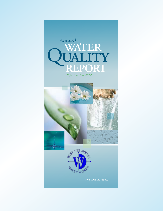





**PWS ID#: IA7785007**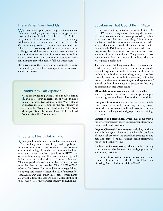#### There When You Need Us

We are once again proud to present our annual water quality report covering all testing performed between January 1 and December 31, 2012. Over the years, we have dedicated ourselves to producing drinking water that meets all state and federal standards. We continually strive to adopt new methods for delivering the best-quality drinking water to you. As new challenges to drinking water safety emerge, we remain vigilant in meeting the goals of source water protection, water conservation, and community education while continuing to serve the needs of all our water users.

Please remember that we are always available to assist you should you ever have any questions or concerns about your water.

#### Community Participation

You are invited to participate in our public forum<br>and voice your concerns about your drinking water. The West Des Moines Water Works Board of Trustees meets at 4 p.m. on the 3rd Monday of each month. Meetings are held at the A.C. Ward Municipal Water Treatment Plant, 1505 Railroad Avenue, West Des Moines, Iowa.

#### Important Health Information

Some people may be more vulnerable to contaminants<br>in drinking water than the general population. Immunocompromised persons such as persons with cancer undergoing chemotherapy, persons who have undergone organ transplants, people with HIV/AIDS or other immune system disorders, some elderly, and infants may be particularly at risk from infections. These people should seek advice about drinking water from their health care providers. The U.S. EPA/CDC (Centers for Disease Control and Prevention) guidelines on appropriate means to lessen the risk of infection by *Cryptosporidium* and other microbial contaminants are available from the Safe Drinking Water Hotline at (800) 426-4791 or http://water.epa.gov/drink/hotline.

## Substances That Could Be in Water

To ensure that tap water is safe to drink, the U.S. **L** EPA prescribes regulations limiting the amount of certain contaminants in water provided by public water systems. U.S. Food and Drug Administration regulations establish limits for contaminants in bottled water, which must provide the same protection for public health. Drinking water, including bottled water, may reasonably be expected to contain at least small amounts of some contaminants. The presence of these contaminants does not necessarily indicate that the water poses a health risk.

The sources of drinking water (both tap water and bottled water) include rivers, lakes, streams, ponds, reservoirs, springs, and wells. As water travels over the surface of the land or through the ground, it dissolves naturally occurring minerals, in some cases, radioactive material, and substances resulting from the presence of animals or from human activity. Substances that may be present in source water include:

**Microbial Contaminants**, such as viruses and bacteria, which may come from sewage treatment plants, septic systems, agricultural livestock operations, or wildlife;

**Inorganic Contaminants**, such as salts and metals, which can be naturally occurring or may result from urban stormwater runoff, industrial or domestic wastewater discharges, oil and gas production, mining, or farming;

**Pesticides and Herbicides**, which may come from a variety of sources such as agriculture, urban stormwater runoff, and residential uses;

**Organic Chemical Contaminants**, including synthetic and volatile organic chemicals, which are by-products of industrial processes and petroleum production and may also come from gas stations, urban stormwater runoff, and septic systems;

**Radioactive Contaminants**, which can be naturally occurring or may be the result of oil and gas production and mining activities.

For more information about contaminants and potential health effects, call the U.S. EPA's Safe Drinking Water Hotline at (800) 426-4791.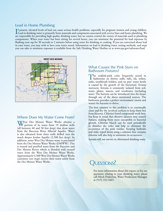# Lead in Home Plumbing

If present, elevated levels of lead can cause serious health problems, especially for pregnant women and young children.<br>Lead in drinking water is primarily from materials and components associated with service lines and h f present, elevated levels of lead can cause serious health problems, especially for pregnant women and young children. are responsible for providing high-quality drinking water, but we cannot control the variety of materials used in plumbing components. When your water has been sitting for several hours, you can minimize the potential for lead exposure by flushing your tap for 30 seconds to 2 minutes before using water for drinking or cooking. If you are concerned about lead in your water, you may wish to have your water tested. Information on lead in drinking water, testing methods, and steps you can take to minimize exposure is available from the Safe Drinking Water Hotline or at www.epa.gov/safewater/lead.



#### Where Does My Water Come From?

West Des Moines Water Works obtains a<br>portion of its water from 19 shallow wells (all between 40 and 50 feet deep) that draw water from the Raccoon River Alluvial Aquifer. Water is also obtained from three wells drilled into the much deeper Jordan Aquifer (2,500 feet deep). In addition, some West Des Moines water is purchased from the Des Moines Water Works (DMWW). This is treated and purified water from the Raccoon and Des Moines Rivers which is blended with treated water from the West Des Moines Water Works. Approximately 4,500 West Des Moines Water Works customers (see map) receive their water solely from the Des Moines Water Works.

#### What Causes the Pink Stain on Bathroom Fixtures?

The reddish-pink color frequently noted in bathrooms on shower stalls, tubs, tile, toilets, sinks, toothbrush holders, and on pets' water bowls is caused by the growth of the bacterium *Serratia marcesens*. Serratia is commonly isolated from soil, water, plants, insects, and vertebrates (including man). The bacteria can be introduced into the house through any of the above mentioned sources. The bathroom provides a perfect environment (moist and warm) for bacteria to thrive.

The best solution to this problem is to continually clean and dry the involved surfaces to keep them free from bacteria. Chlorine-based compounds work best, but keep in mind that abrasive cleaners may scratch fixtures, making them more susceptible to bacterial growth. Chlorine bleach can be used periodically to disinfect the toilet and help to eliminate the occurrence of the pink residue. Keeping bathtubs and sinks wiped down using a solution that contains chlorine will also help to minimize its occurrence.

Serratia will not survive in chlorinated drinking water.

# UESTIONS?

For more information about this report, or for any questions relating to your drinking water, please call Mitch Pinkerton, Water Production Manager, at (515) 222-3465.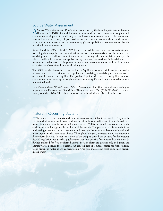#### Source Water Assessment

A Source Water Assessment (SWA) is an evaluation by the Iowa Department of Natural<br>Resources (IDNR) of the delineated area around our listed sources through which contaminants, if present, could migrate and reach our source water. The assessment also includes an inventory of potential sources of contamination within the delineated area, and a determination of the water supply's susceptibility to contamination by the identified potential sources.

West Des Moines Water Works' SWA has determined the Raccoon River Alluvial Aquifer to be highly susceptible to contamination because the characteristics of the aquifer and overlying materials allow contaminants to move through the aquifer fairly quickly. The alluvial wells will be most susceptible to dry cleaners, gas stations, industrial sites and wastewater dischargers. It is important to note that no contaminants resulting from these activities have been found in your drinking water.

The SWA has also determined that the Jordan Aquifer is not susceptible to contamination because the characteristics of the aquifer and overlying materials prevent easy access of contaminants to the aquifer. The Jordan Aquifer will not be susceptible to most contaminant sources except through pathways to the aquifer such as abandoned or poorly maintained wells.

Des Moines Water Works' Source Water Assessment identifies contaminants having an impact on the Raccoon and Des Moines River watersheds. Call (515) 222-3460 to request a copy of either SWA. The lab test results for both utilities are listed in this report.

#### Naturally Occurring Bacteria

The simple fact is, bacteria and other microorganisms inhabit our world. They can be found all around us: in our food, on our skin, in our bodies, and in the air, soil, and water. Some are harmful to us and some are not. Coliform bacteria are common in the environment and are generally not harmful themselves. The presence of this bacterial form in drinking water is a concern because it indicates that the water may be contaminated with other organisms that can cause disease. Throughout the year, we tested many water samples for coliform bacteria. In that time, none of the samples came back positive for the bacteria. Federal regulations require that public water that tests positive for coliform bacteria must be further analyzed for fecal coliform bacteria. Fecal coliform are present only in human and animal waste. Because these bacteria can cause illness, it is unacceptable for fecal coliform to be present in water at any concentration. Our tests indicate no fecal coliform is present in our water.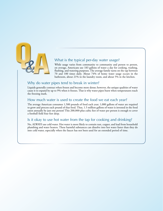

# What is the typical per-day water usage?

While usage varies from community to community and person to person, on average, Americans use 183 gallons of water a day for cooking, washing, flushing, and watering purposes. The average family turns on the tap between 70 and 100 times daily. About 74% of home water usage occurs in the bathroom, about 21% in the laundry room, and about 5% in the kitchen.

## Why do water pipes tend to break in winter?

Liquids generally contract when frozen and become more dense; however, the unique qualities of water cause it to expand by up to 9% when it freezes. That is why water pipes burst when temperatures reach the freezing mark.

#### How much water is used to create the food we eat each year?

The average American consumes 1,500 pounds of food each year; 1,000 gallons of water are required to grow and process each pound of that food. Thus, 1.5 million gallons of water is invested in the food eaten annually by just one person! This 200,000-plus cubic feet of water per person is enough to cover a football field four feet deep.

## Is it okay to use hot water from the tap for cooking and drinking?

No, ALWAYS use cold water. Hot water is more likely to contain rust, copper, and lead from household plumbing and water heaters. These harmful substances can dissolve into hot water faster than they do into cold water, especially when the faucet has not been used for an extended period of time.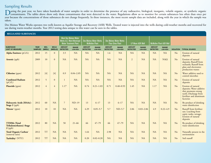# Sampling Results

During the past year, we have taken hundreds of water samples in order to determine the presence of any radioactive, biological, inorganic, volatile organic, or synthetic organic organic organic organic organic organic org year because the concentrations of those substances do not change frequently. In these instances, the most recent sample data are included, along with the year in which the sample was taken.

Des Moines Water Works operates two wells known as Aquifer Storage and Recovery (ASR) Wells. Treated water is injected into the wells during cold-weather months and recovered for use during warm-weather months. Year 2012 testing data unique to this water can be seen in the tables.

| <b>REGULATED SUBSTANCES</b>                                |                               |                                                                                                 |                        |                                                        |                          |                                                           |                          |                                  |                          |                                  |                          |                                  |                          |                  |                                                                                                                                         |
|------------------------------------------------------------|-------------------------------|-------------------------------------------------------------------------------------------------|------------------------|--------------------------------------------------------|--------------------------|-----------------------------------------------------------|--------------------------|----------------------------------|--------------------------|----------------------------------|--------------------------|----------------------------------|--------------------------|------------------|-----------------------------------------------------------------------------------------------------------------------------------------|
|                                                            |                               | <b>West Des Moines Water</b><br><b>Works A.C. Ward Municipa</b><br><b>Water Treatment Plant</b> |                        | <b>Des Moines Water Works</b><br><b>McMullen Plant</b> |                          | <b>Des Moines Water Works</b><br><b>Fleur Drive Plant</b> |                          | <b>LP Moon ASR Well</b>          |                          | <b>McMullen Plant ASR Well</b>   |                          |                                  |                          |                  |                                                                                                                                         |
| <b>SUBSTANCE</b><br>(UNIT OF MEASURE)                      | <b>YEAR</b><br><b>SAMPLED</b> | <b>MCL</b><br>[MRDL]                                                                            | <b>MCLG</b><br>[MRDLG] | <b>AMOUNT</b><br><b>DETECTED</b>                       | <b>RANGE</b><br>LOW-HIGH | <b>AMOUNT</b><br><b>DETECTED</b>                          | <b>RANGE</b><br>LOW-HIGH | <b>AMOUNT</b><br><b>DETECTED</b> | <b>RANGE</b><br>LOW-HIGH | <b>AMOUNT</b><br><b>DETECTED</b> | <b>RANGE</b><br>LOW-HIGH | <b>AMOUNT</b><br><b>DETECTED</b> | <b>RANGE</b><br>LOW-HIGH | <b>VIOLATION</b> | <b>TYPICAL SOURCE</b>                                                                                                                   |
| <b>Alpha Emitters</b> (pCi/L)                              | 2012                          | 15                                                                                              | $\mathbf{0}$           | 3.5                                                    | <b>NA</b>                | <b>NA</b>                                                 | <b>NA</b>                | 1.6                              | <b>NA</b>                | <b>NA</b>                        | <b>NA</b>                | <b>NA</b>                        | <b>NA</b>                | N <sub>o</sub>   | Erosion of natural<br>deposits                                                                                                          |
| <b>Arsenic</b> (ppb)                                       | 2009                          | 10                                                                                              | $\overline{0}$         | <b>NA</b>                                              | <b>NA</b>                | NA                                                        | <b>NA</b>                | <b>NA</b>                        | <b>NA</b>                | $\overline{2}$                   | NA                       | <b>NA</b>                        | $NA\Omega$               | No               | Erosion of natural<br>deposits; Runoff from<br>orchards; Runoff from<br>glass and electronics<br>production wastes                      |
| Chlorine (ppm)                                             | 2012                          | $[4]$                                                                                           | $[4]$                  | 0.9                                                    | $0.04 - 2.05$            | <b>NA</b>                                                 | <b>NA</b>                | <b>NA</b>                        | <b>NA</b>                | NA                               | <b>NA</b>                | <b>NA</b>                        | <b>NA</b>                | No               | Water additive used to<br>control microbes                                                                                              |
| <b>Combined Radium</b><br>(pCi/L)                          | 2012                          | 5                                                                                               | $\mathbf{0}$           | $\mathbf{1}$                                           | NA                       | NA                                                        | NA                       | <b>NA</b>                        | <b>NA</b>                | <b>NA</b>                        | <b>NA</b>                | <b>NA</b>                        | <b>NA</b>                | N <sub>o</sub>   | Erosion of natural<br>deposits                                                                                                          |
| Fluoride (ppm)                                             | 2012                          | $\overline{4}$                                                                                  | $\overline{4}$         | $1.17$ <sup>1</sup>                                    | <b>NA</b>                | 0.74                                                      | $0.21 - 1.03$            | 0.71                             | $0.48 - 0.93$            | 1.45                             | <b>NA</b>                | 1.17                             | <b>NA</b>                | No               | Erosion of natural<br>deposits; Water additive<br>that promotes strong<br>teeth; Discharge from<br>fertilizer and aluminum<br>factories |
| Haloacetic Acids [HAAs]-<br>Stage 2 (ppb)                  | 2012                          | 60                                                                                              | <b>NA</b>              | $\overline{7}$                                         | $ND-19$                  | 13                                                        | $6 - 17$                 | 13                               | $6 - 17$                 | <b>NA</b>                        | NA                       | <b>NA</b>                        | <b>NA</b>                | N <sub>o</sub>   | By-product of drinking<br>water disinfection                                                                                            |
| Nitrate <sup>2</sup> (ppm)                                 | 2012                          | 10                                                                                              | 10                     | <b>NA</b>                                              | <b>NA</b>                | 4.29                                                      | $0.05 - 5.7$             | 5.7                              | $ND-5.7$                 | 2.06                             | $0.83 - 2.06$            | 4.9                              | $0.22 - 4.9$             | N <sub>o</sub>   | Runoff from fertilizer<br>use; Leaching from<br>septic tanks, sewage;<br>Erosion of natural<br>deposits                                 |
| <b>TTHMs</b> [Total<br>Trihalomethanes]-Stage<br>$2$ (ppb) | 2012                          | 80                                                                                              | NA                     | 50                                                     | $21 - 66$                | 66                                                        | $47 - 79$                | 66                               | $47 - 79$                | <b>NA</b>                        | <b>NA</b>                | <b>NA</b>                        | <b>NA</b>                | N <sub>o</sub>   | By-product of drinking<br>water disinfection                                                                                            |
| Total Organic Carbon <sup>3</sup><br>(removal ratio)       | 2012                          | <b>TT</b>                                                                                       | NA                     | <b>NA</b>                                              | <b>NA</b>                | 1.64                                                      | <b>NA</b>                | 2.98                             | <b>NA</b>                | <b>NA</b>                        | NA                       | <b>NA</b>                        | <b>NA</b>                | N <sub>o</sub>   | Naturally present in the<br>environment                                                                                                 |
| Turbidity <sup>4</sup> (NTU)                               | 2012                          | <b>TT</b>                                                                                       | <b>NA</b>              | <b>NA</b>                                              | <b>NA</b>                | 0.20                                                      | $0.02 - 0.20$            | <b>NA</b>                        | <b>NA</b>                | <b>NA</b>                        | <b>NA</b>                | <b>NA</b>                        | <b>NA</b>                | N <sub>o</sub>   | Soil runoff                                                                                                                             |